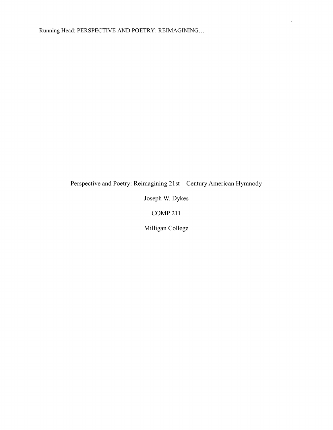Perspective and Poetry: Reimagining 21st – Century American Hymnody

Joseph W. Dykes

COMP 211

Milligan College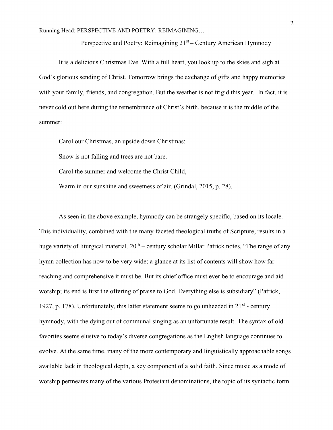Perspective and Poetry: Reimagining 21<sup>st</sup> – Century American Hymnody

It is a delicious Christmas Eve. With a full heart, you look up to the skies and sigh at God's glorious sending of Christ. Tomorrow brings the exchange of gifts and happy memories with your family, friends, and congregation. But the weather is not frigid this year. In fact, it is never cold out here during the remembrance of Christ's birth, because it is the middle of the summer:

Carol our Christmas, an upside down Christmas:

Snow is not falling and trees are not bare.

Carol the summer and welcome the Christ Child,

Warm in our sunshine and sweetness of air. (Grindal, 2015, p. 28).

 As seen in the above example, hymnody can be strangely specific, based on its locale. This individuality, combined with the many-faceted theological truths of Scripture, results in a huge variety of liturgical material.  $20<sup>th</sup>$  – century scholar Millar Patrick notes, "The range of any hymn collection has now to be very wide; a glance at its list of contents will show how farreaching and comprehensive it must be. But its chief office must ever be to encourage and aid worship; its end is first the offering of praise to God. Everything else is subsidiary" (Patrick, 1927, p. 178). Unfortunately, this latter statement seems to go unheeded in  $21<sup>st</sup>$  - century hymnody, with the dying out of communal singing as an unfortunate result. The syntax of old favorites seems elusive to today's diverse congregations as the English language continues to evolve. At the same time, many of the more contemporary and linguistically approachable songs available lack in theological depth, a key component of a solid faith. Since music as a mode of worship permeates many of the various Protestant denominations, the topic of its syntactic form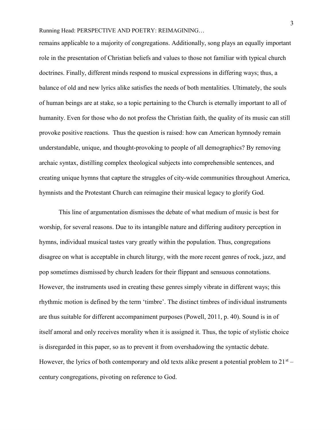remains applicable to a majority of congregations. Additionally, song plays an equally important role in the presentation of Christian beliefs and values to those not familiar with typical church doctrines. Finally, different minds respond to musical expressions in differing ways; thus, a balance of old and new lyrics alike satisfies the needs of both mentalities. Ultimately, the souls of human beings are at stake, so a topic pertaining to the Church is eternally important to all of humanity. Even for those who do not profess the Christian faith, the quality of its music can still provoke positive reactions. Thus the question is raised: how can American hymnody remain understandable, unique, and thought-provoking to people of all demographics? By removing archaic syntax, distilling complex theological subjects into comprehensible sentences, and creating unique hymns that capture the struggles of city-wide communities throughout America, hymnists and the Protestant Church can reimagine their musical legacy to glorify God.

 This line of argumentation dismisses the debate of what medium of music is best for worship, for several reasons. Due to its intangible nature and differing auditory perception in hymns, individual musical tastes vary greatly within the population. Thus, congregations disagree on what is acceptable in church liturgy, with the more recent genres of rock, jazz, and pop sometimes dismissed by church leaders for their flippant and sensuous connotations. However, the instruments used in creating these genres simply vibrate in different ways; this rhythmic motion is defined by the term 'timbre'. The distinct timbres of individual instruments are thus suitable for different accompaniment purposes (Powell, 2011, p. 40). Sound is in of itself amoral and only receives morality when it is assigned it. Thus, the topic of stylistic choice is disregarded in this paper, so as to prevent it from overshadowing the syntactic debate. However, the lyrics of both contemporary and old texts alike present a potential problem to  $21^{st}$  – century congregations, pivoting on reference to God.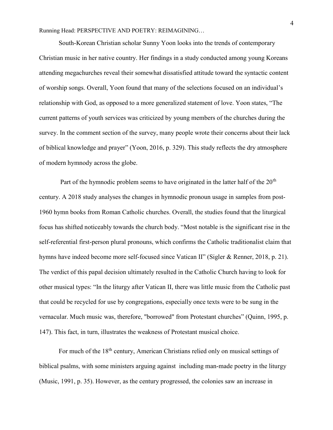South-Korean Christian scholar Sunny Yoon looks into the trends of contemporary Christian music in her native country. Her findings in a study conducted among young Koreans attending megachurches reveal their somewhat dissatisfied attitude toward the syntactic content of worship songs. Overall, Yoon found that many of the selections focused on an individual's relationship with God, as opposed to a more generalized statement of love. Yoon states, "The current patterns of youth services was criticized by young members of the churches during the survey. In the comment section of the survey, many people wrote their concerns about their lack of biblical knowledge and prayer" (Yoon, 2016, p. 329). This study reflects the dry atmosphere of modern hymnody across the globe.

Part of the hymnodic problem seems to have originated in the latter half of the  $20<sup>th</sup>$ century. A 2018 study analyses the changes in hymnodic pronoun usage in samples from post-1960 hymn books from Roman Catholic churches. Overall, the studies found that the liturgical focus has shifted noticeably towards the church body. "Most notable is the significant rise in the self-referential first-person plural pronouns, which confirms the Catholic traditionalist claim that hymns have indeed become more self-focused since Vatican II" (Sigler & Renner, 2018, p. 21). The verdict of this papal decision ultimately resulted in the Catholic Church having to look for other musical types: "In the liturgy after Vatican II, there was little music from the Catholic past that could be recycled for use by congregations, especially once texts were to be sung in the vernacular. Much music was, therefore, "borrowed" from Protestant churches" (Quinn, 1995, p. 147). This fact, in turn, illustrates the weakness of Protestant musical choice.

For much of the 18<sup>th</sup> century, American Christians relied only on musical settings of biblical psalms, with some ministers arguing against including man-made poetry in the liturgy (Music, 1991, p. 35). However, as the century progressed, the colonies saw an increase in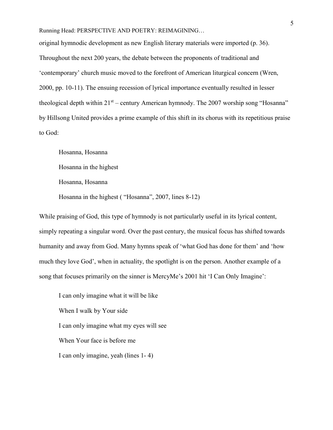original hymnodic development as new English literary materials were imported (p. 36). Throughout the next 200 years, the debate between the proponents of traditional and 'contemporary' church music moved to the forefront of American liturgical concern (Wren, 2000, pp. 10-11). The ensuing recession of lyrical importance eventually resulted in lesser theological depth within  $21<sup>st</sup>$  – century American hymnody. The 2007 worship song "Hosanna" by Hillsong United provides a prime example of this shift in its chorus with its repetitious praise to God:

Hosanna, Hosanna

Hosanna in the highest

Hosanna, Hosanna

Hosanna in the highest ( "Hosanna", 2007, lines 8-12)

While praising of God, this type of hymnody is not particularly useful in its lyrical content, simply repeating a singular word. Over the past century, the musical focus has shifted towards humanity and away from God. Many hymns speak of 'what God has done for them' and 'how much they love God', when in actuality, the spotlight is on the person. Another example of a song that focuses primarily on the sinner is MercyMe's 2001 hit 'I Can Only Imagine':

I can only imagine what it will be like When I walk by Your side I can only imagine what my eyes will see When Your face is before me I can only imagine, yeah (lines 1- 4)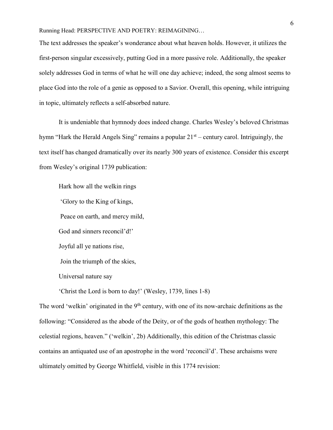The text addresses the speaker's wonderance about what heaven holds. However, it utilizes the first-person singular excessively, putting God in a more passive role. Additionally, the speaker solely addresses God in terms of what he will one day achieve; indeed, the song almost seems to place God into the role of a genie as opposed to a Savior. Overall, this opening, while intriguing in topic, ultimately reflects a self-absorbed nature.

It is undeniable that hymnody does indeed change. Charles Wesley's beloved Christmas hymn "Hark the Herald Angels Sing" remains a popular  $21<sup>st</sup>$  – century carol. Intriguingly, the text itself has changed dramatically over its nearly 300 years of existence. Consider this excerpt from Wesley's original 1739 publication:

Hark how all the welkin rings

'Glory to the King of kings,

Peace on earth, and mercy mild,

God and sinners reconcil'd!'

Joyful all ye nations rise,

Join the triumph of the skies,

Universal nature say

'Christ the Lord is born to day!' (Wesley, 1739, lines 1-8)

The word 'welkin' originated in the  $9<sup>th</sup>$  century, with one of its now-archaic definitions as the following: "Considered as the abode of the Deity, or of the gods of heathen mythology: The celestial regions, heaven." ('welkin', 2b) Additionally, this edition of the Christmas classic contains an antiquated use of an apostrophe in the word 'reconcil'd'. These archaisms were ultimately omitted by George Whitfield, visible in this 1774 revision: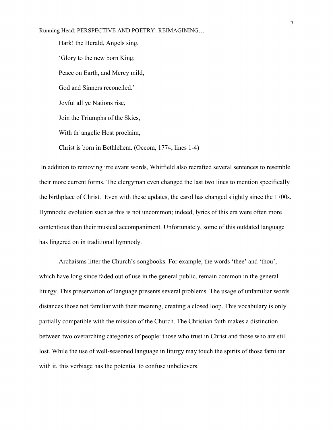Hark! the Herald, Angels sing, 'Glory to the new born King; Peace on Earth, and Mercy mild, God and Sinners reconciled.' Joyful all ye Nations rise, Join the Triumphs of the Skies, With th' angelic Host proclaim, Christ is born in Bethlehem. (Occom, 1774, lines 1-4)

 In addition to removing irrelevant words, Whitfield also recrafted several sentences to resemble their more current forms. The clergyman even changed the last two lines to mention specifically the birthplace of Christ. Even with these updates, the carol has changed slightly since the 1700s. Hymnodic evolution such as this is not uncommon; indeed, lyrics of this era were often more contentious than their musical accompaniment. Unfortunately, some of this outdated language has lingered on in traditional hymnody.

Archaisms litter the Church's songbooks. For example, the words 'thee' and 'thou', which have long since faded out of use in the general public, remain common in the general liturgy. This preservation of language presents several problems. The usage of unfamiliar words distances those not familiar with their meaning, creating a closed loop. This vocabulary is only partially compatible with the mission of the Church. The Christian faith makes a distinction between two overarching categories of people: those who trust in Christ and those who are still lost. While the use of well-seasoned language in liturgy may touch the spirits of those familiar with it, this verbiage has the potential to confuse unbelievers.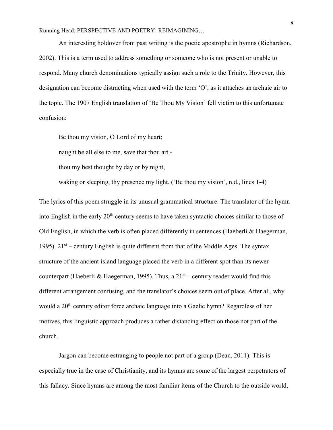An interesting holdover from past writing is the poetic apostrophe in hymns (Richardson, 2002). This is a term used to address something or someone who is not present or unable to respond. Many church denominations typically assign such a role to the Trinity. However, this designation can become distracting when used with the term 'O', as it attaches an archaic air to the topic. The 1907 English translation of 'Be Thou My Vision' fell victim to this unfortunate confusion:

Be thou my vision, O Lord of my heart;

naught be all else to me, save that thou art -

thou my best thought by day or by night,

waking or sleeping, thy presence my light. ('Be thou my vision', n.d., lines 1-4)

The lyrics of this poem struggle in its unusual grammatical structure. The translator of the hymn into English in the early  $20<sup>th</sup>$  century seems to have taken syntactic choices similar to those of Old English, in which the verb is often placed differently in sentences (Haeberli & Haegerman, 1995).  $21<sup>st</sup>$  – century English is quite different from that of the Middle Ages. The syntax structure of the ancient island language placed the verb in a different spot than its newer counterpart (Haeberli & Haegerman, 1995). Thus, a  $21<sup>st</sup>$  – century reader would find this different arrangement confusing, and the translator's choices seem out of place. After all, why would a 20<sup>th</sup> century editor force archaic language into a Gaelic hymn? Regardless of her motives, this linguistic approach produces a rather distancing effect on those not part of the church.

Jargon can become estranging to people not part of a group (Dean, 2011). This is especially true in the case of Christianity, and its hymns are some of the largest perpetrators of this fallacy. Since hymns are among the most familiar items of the Church to the outside world,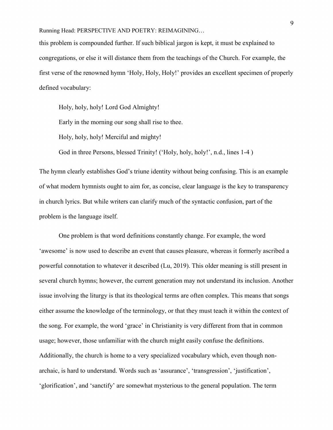this problem is compounded further. If such biblical jargon is kept, it must be explained to congregations, or else it will distance them from the teachings of the Church. For example, the first verse of the renowned hymn 'Holy, Holy, Holy!' provides an excellent specimen of properly defined vocabulary:

Holy, holy, holy! Lord God Almighty! Early in the morning our song shall rise to thee. Holy, holy, holy! Merciful and mighty!

God in three Persons, blessed Trinity! ('Holy, holy, holy!', n.d., lines 1-4 )

The hymn clearly establishes God's triune identity without being confusing. This is an example of what modern hymnists ought to aim for, as concise, clear language is the key to transparency in church lyrics. But while writers can clarify much of the syntactic confusion, part of the problem is the language itself.

One problem is that word definitions constantly change. For example, the word 'awesome' is now used to describe an event that causes pleasure, whereas it formerly ascribed a powerful connotation to whatever it described (Lu, 2019). This older meaning is still present in several church hymns; however, the current generation may not understand its inclusion. Another issue involving the liturgy is that its theological terms are often complex. This means that songs either assume the knowledge of the terminology, or that they must teach it within the context of the song. For example, the word 'grace' in Christianity is very different from that in common usage; however, those unfamiliar with the church might easily confuse the definitions. Additionally, the church is home to a very specialized vocabulary which, even though nonarchaic, is hard to understand. Words such as 'assurance', 'transgression', 'justification', 'glorification', and 'sanctify' are somewhat mysterious to the general population. The term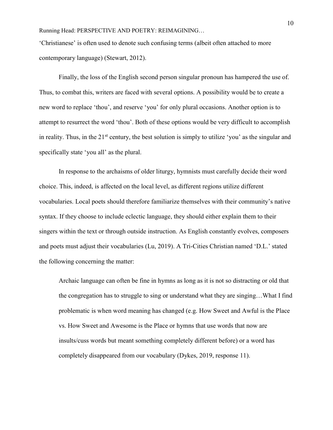'Christianese' is often used to denote such confusing terms (albeit often attached to more contemporary language) (Stewart, 2012).

Finally, the loss of the English second person singular pronoun has hampered the use of. Thus, to combat this, writers are faced with several options. A possibility would be to create a new word to replace 'thou', and reserve 'you' for only plural occasions. Another option is to attempt to resurrect the word 'thou'. Both of these options would be very difficult to accomplish in reality. Thus, in the  $21<sup>st</sup>$  century, the best solution is simply to utilize 'you' as the singular and specifically state 'you all' as the plural.

In response to the archaisms of older liturgy, hymnists must carefully decide their word choice. This, indeed, is affected on the local level, as different regions utilize different vocabularies. Local poets should therefore familiarize themselves with their community's native syntax. If they choose to include eclectic language, they should either explain them to their singers within the text or through outside instruction. As English constantly evolves, composers and poets must adjust their vocabularies (Lu, 2019). A Tri-Cities Christian named 'D.L.' stated the following concerning the matter:

Archaic language can often be fine in hymns as long as it is not so distracting or old that the congregation has to struggle to sing or understand what they are singing…What I find problematic is when word meaning has changed (e.g. How Sweet and Awful is the Place vs. How Sweet and Awesome is the Place or hymns that use words that now are insults/cuss words but meant something completely different before) or a word has completely disappeared from our vocabulary (Dykes, 2019, response 11).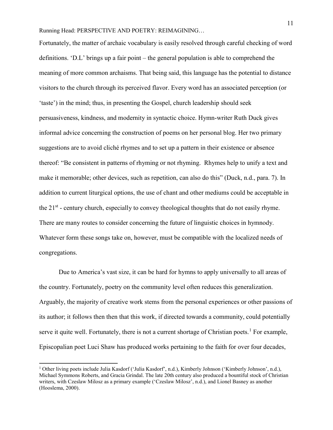Fortunately, the matter of archaic vocabulary is easily resolved through careful checking of word definitions. 'D.L' brings up a fair point – the general population is able to comprehend the meaning of more common archaisms. That being said, this language has the potential to distance visitors to the church through its perceived flavor. Every word has an associated perception (or 'taste') in the mind; thus, in presenting the Gospel, church leadership should seek persuasiveness, kindness, and modernity in syntactic choice. Hymn-writer Ruth Duck gives informal advice concerning the construction of poems on her personal blog. Her two primary suggestions are to avoid cliché rhymes and to set up a pattern in their existence or absence thereof: "Be consistent in patterns of rhyming or not rhyming. Rhymes help to unify a text and make it memorable; other devices, such as repetition, can also do this" (Duck, n.d., para. 7). In addition to current liturgical options, the use of chant and other mediums could be acceptable in the  $21<sup>st</sup>$  - century church, especially to convey theological thoughts that do not easily rhyme. There are many routes to consider concerning the future of linguistic choices in hymnody. Whatever form these songs take on, however, must be compatible with the localized needs of congregations.

Due to America's vast size, it can be hard for hymns to apply universally to all areas of the country. Fortunately, poetry on the community level often reduces this generalization. Arguably, the majority of creative work stems from the personal experiences or other passions of its author; it follows then then that this work, if directed towards a community, could potentially serve it quite well. Fortunately, there is not a current shortage of Christian poets.<sup>1</sup> For example, Episcopalian poet Luci Shaw has produced works pertaining to the faith for over four decades,

 $\overline{a}$ 

<sup>&</sup>lt;sup>1</sup> Other living poets include Julia Kasdorf ('Julia Kasdorf', n.d.), Kimberly Johnson ('Kimberly Johnson', n.d.), Michael Symmons Roberts, and Gracia Grindal. The late 20th century also produced a bountiful stock of Christian writers, with Czeslaw Milosz as a primary example ('Czeslaw Milosz', n.d.), and Lionel Basney as another (Hooslema, 2000).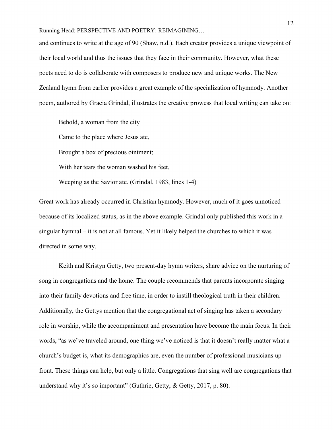and continues to write at the age of 90 (Shaw, n.d.). Each creator provides a unique viewpoint of their local world and thus the issues that they face in their community. However, what these poets need to do is collaborate with composers to produce new and unique works. The New Zealand hymn from earlier provides a great example of the specialization of hymnody. Another poem, authored by Gracia Grindal, illustrates the creative prowess that local writing can take on:

Behold, a woman from the city Came to the place where Jesus ate, Brought a box of precious ointment; With her tears the woman washed his feet, Weeping as the Savior ate. (Grindal, 1983, lines 1-4)

Great work has already occurred in Christian hymnody. However, much of it goes unnoticed because of its localized status, as in the above example. Grindal only published this work in a singular hymnal – it is not at all famous. Yet it likely helped the churches to which it was directed in some way.

Keith and Kristyn Getty, two present-day hymn writers, share advice on the nurturing of song in congregations and the home. The couple recommends that parents incorporate singing into their family devotions and free time, in order to instill theological truth in their children. Additionally, the Gettys mention that the congregational act of singing has taken a secondary role in worship, while the accompaniment and presentation have become the main focus. In their words, "as we've traveled around, one thing we've noticed is that it doesn't really matter what a church's budget is, what its demographics are, even the number of professional musicians up front. These things can help, but only a little. Congregations that sing well are congregations that understand why it's so important" (Guthrie, Getty, & Getty, 2017, p. 80).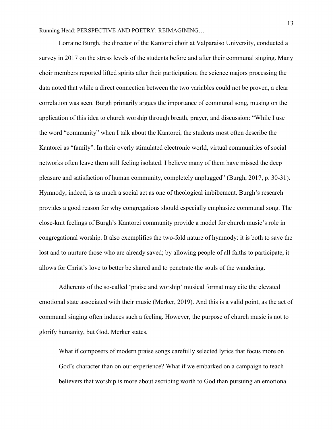Lorraine Burgh, the director of the Kantorei choir at Valparaiso University, conducted a survey in 2017 on the stress levels of the students before and after their communal singing. Many choir members reported lifted spirits after their participation; the science majors processing the data noted that while a direct connection between the two variables could not be proven, a clear correlation was seen. Burgh primarily argues the importance of communal song, musing on the application of this idea to church worship through breath, prayer, and discussion: "While I use the word "community" when I talk about the Kantorei, the students most often describe the Kantorei as "family". In their overly stimulated electronic world, virtual communities of social networks often leave them still feeling isolated. I believe many of them have missed the deep pleasure and satisfaction of human community, completely unplugged" (Burgh, 2017, p. 30-31). Hymnody, indeed, is as much a social act as one of theological imbibement. Burgh's research provides a good reason for why congregations should especially emphasize communal song. The close-knit feelings of Burgh's Kantorei community provide a model for church music's role in congregational worship. It also exemplifies the two-fold nature of hymnody: it is both to save the lost and to nurture those who are already saved; by allowing people of all faiths to participate, it allows for Christ's love to better be shared and to penetrate the souls of the wandering.

Adherents of the so-called 'praise and worship' musical format may cite the elevated emotional state associated with their music (Merker, 2019). And this is a valid point, as the act of communal singing often induces such a feeling. However, the purpose of church music is not to glorify humanity, but God. Merker states,

What if composers of modern praise songs carefully selected lyrics that focus more on God's character than on our experience? What if we embarked on a campaign to teach believers that worship is more about ascribing worth to God than pursuing an emotional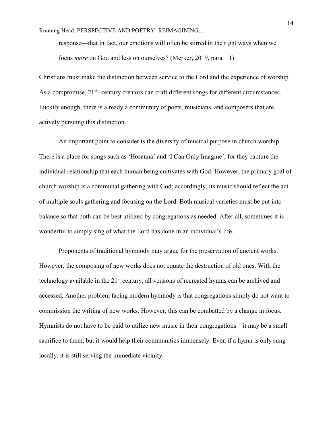response—that in fact, our emotions will often be stirred in the right ways when we focus more on God and less on ourselves? (Merker, 2019, para. 11)

Christians must make the distinction between service to the Lord and the experience of worship. As a compromise,  $21^{st}$ - century creators can craft different songs for different circumstances. Luckily enough, there is already a community of poets, musicians, and composers that are actively pursuing this distinction.

 An important point to consider is the diversity of musical purpose in church worship. There is a place for songs such as 'Hosanna' and 'I Can Only Imagine', for they capture the individual relationship that each human being cultivates with God. However, the primary goal of church worship is a communal gathering with God; accordingly, its music should reflect the act of multiple souls gathering and focusing on the Lord. Both musical varieties must be put into balance so that both can be best utilized by congregations as needed. After all, sometimes it is wonderful to simply sing of what the Lord has done in an individual's life.

Proponents of traditional hymnody may argue for the preservation of ancient works. However, the composing of new works does not equate the destruction of old ones. With the technology available in the 21<sup>st</sup> century, all versions of recreated hymns can be archived and accessed. Another problem facing modern hymnody is that congregations simply do not want to commission the writing of new works. However, this can be combatted by a change in focus. Hymnists do not have to be paid to utilize new music in their congregations – it may be a small sacrifice to them, but it would help their communities immensely. Even if a hymn is only sung locally, it is still serving the immediate vicinity.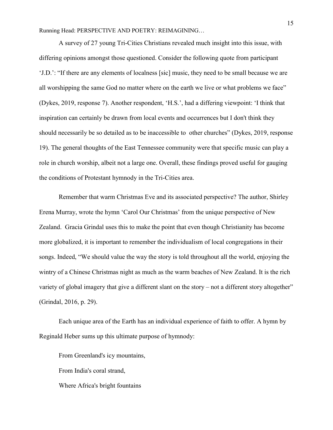A survey of 27 young Tri-Cities Christians revealed much insight into this issue, with differing opinions amongst those questioned. Consider the following quote from participant 'J.D.': "If there are any elements of localness [sic] music, they need to be small because we are all worshipping the same God no matter where on the earth we live or what problems we face" (Dykes, 2019, response 7). Another respondent, 'H.S.', had a differing viewpoint: 'I think that inspiration can certainly be drawn from local events and occurrences but I don't think they should necessarily be so detailed as to be inaccessible to other churches" (Dykes, 2019, response 19). The general thoughts of the East Tennessee community were that specific music can play a role in church worship, albeit not a large one. Overall, these findings proved useful for gauging the conditions of Protestant hymnody in the Tri-Cities area.

Remember that warm Christmas Eve and its associated perspective? The author, Shirley Erena Murray, wrote the hymn 'Carol Our Christmas' from the unique perspective of New Zealand. Gracia Grindal uses this to make the point that even though Christianity has become more globalized, it is important to remember the individualism of local congregations in their songs. Indeed, "We should value the way the story is told throughout all the world, enjoying the wintry of a Chinese Christmas night as much as the warm beaches of New Zealand. It is the rich variety of global imagery that give a different slant on the story – not a different story altogether" (Grindal, 2016, p. 29).

Each unique area of the Earth has an individual experience of faith to offer. A hymn by Reginald Heber sums up this ultimate purpose of hymnody:

From Greenland's icy mountains,

From India's coral strand,

Where Africa's bright fountains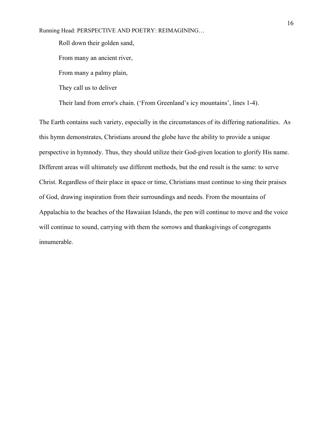Roll down their golden sand,

From many an ancient river,

From many a palmy plain,

They call us to deliver

Their land from error's chain. ('From Greenland's icy mountains', lines 1-4).

The Earth contains such variety, especially in the circumstances of its differing nationalities. As this hymn demonstrates, Christians around the globe have the ability to provide a unique perspective in hymnody. Thus, they should utilize their God-given location to glorify His name. Different areas will ultimately use different methods, but the end result is the same: to serve Christ. Regardless of their place in space or time, Christians must continue to sing their praises of God, drawing inspiration from their surroundings and needs. From the mountains of Appalachia to the beaches of the Hawaiian Islands, the pen will continue to move and the voice will continue to sound, carrying with them the sorrows and thanksgivings of congregants innumerable.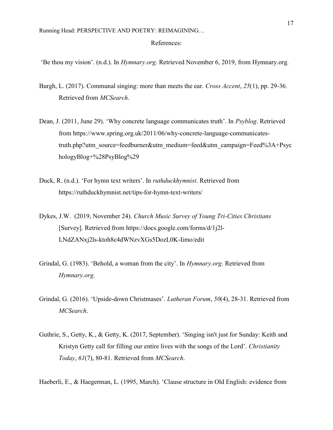## References:

'Be thou my vision'. (n.d.). In Hymnary.org. Retrieved November 6, 2019, from Hymnary.org.

- Burgh, L. (2017). Communal singing: more than meets the ear. Cross Accent, 25(1), pp. 29-36. Retrieved from MCSearch.
- Dean, J. (2011, June 29). 'Why concrete language communicates truth'. In Psyblog. Retrieved from https://www.spring.org.uk/2011/06/why-concrete-language-communicatestruth.php?utm\_source=feedburner&utm\_medium=feed&utm\_campaign=Feed%3A+Psyc hologyBlog+%28PsyBlog%29
- Duck, R. (n.d.). 'For hymn text writers'. In ruthduckhymnist. Retrieved from https://ruthduckhymnist.net/tips-for-hymn-text-writers/
- Dykes, J.W. (2019, November 24). Church Music Survey of Young Tri-Cities Christians [Survey]. Retrieved from https://docs.google.com/forms/d/1j2l-LNdZANxj2ls-ktoh8c4dWNzvXGs5DozL0K-Iimo/edit
- Grindal, G. (1983). 'Behold, a woman from the city'. In Hymnary.org. Retrieved from Hymnary.org.
- Grindal, G. (2016). 'Upside-down Christmases'. Lutheran Forum, 50(4), 28-31. Retrieved from MCSearch.
- Guthrie, S., Getty, K., & Getty, K. (2017, September). 'Singing isn't just for Sunday: Keith and Kristyn Getty call for filling our entire lives with the songs of the Lord'. Christianity Today, 61(7), 80-81. Retrieved from MCSearch.

Haeberli, E., & Haegerman, L. (1995, March). 'Clause structure in Old English: evidence from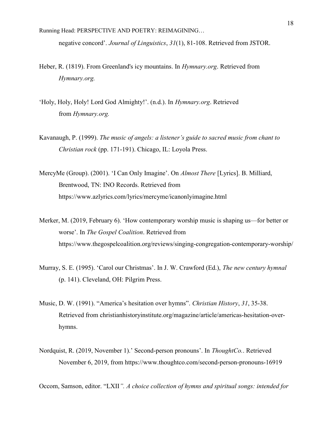negative concord'. Journal of Linguistics, 31(1), 81-108. Retrieved from JSTOR.

- Heber, R. (1819). From Greenland's icy mountains. In *Hymnary.org*. Retrieved from Hymnary.org.
- 'Holy, Holy, Holy! Lord God Almighty!'. (n.d.). In Hymnary.org. Retrieved from Hymnary.org.
- Kavanaugh, P. (1999). The music of angels: a listener's guide to sacred music from chant to Christian rock (pp. 171-191). Chicago, IL: Loyola Press.
- MercyMe (Group). (2001). 'I Can Only Imagine'. On Almost There [Lyrics]. B. Milliard, Brentwood, TN: INO Records. Retrieved from https://www.azlyrics.com/lyrics/mercyme/icanonlyimagine.html
- Merker, M. (2019, February 6). 'How contemporary worship music is shaping us—for better or worse'. In The Gospel Coalition. Retrieved from https://www.thegospelcoalition.org/reviews/singing-congregation-contemporary-worship/
- Murray, S. E. (1995). 'Carol our Christmas'. In J. W. Crawford (Ed.), *The new century hymnal* (p. 141). Cleveland, OH: Pilgrim Press.
- Music, D. W. (1991). "America's hesitation over hymns". Christian History, 31, 35-38. Retrieved from christianhistoryinstitute.org/magazine/article/americas-hesitation-overhymns.
- Nordquist, R. (2019, November 1).' Second-person pronouns'. In ThoughtCo.. Retrieved November 6, 2019, from https://www.thoughtco.com/second-person-pronouns-16919

Occom, Samson, editor. "LXII". A choice collection of hymns and spiritual songs: intended for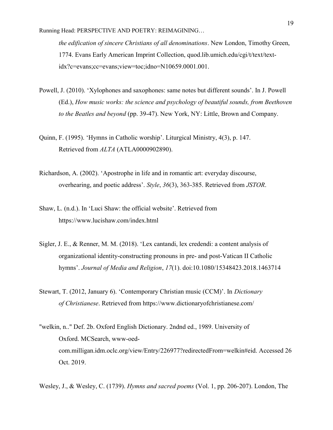the edification of sincere Christians of all denominations. New London, Timothy Green, 1774. Evans Early American Imprint Collection, quod.lib.umich.edu/cgi/t/text/textidx?c=evans;cc=evans;view=toc;idno=N10659.0001.001.

- Powell, J. (2010). 'Xylophones and saxophones: same notes but different sounds'. In J. Powell (Ed.), How music works: the science and psychology of beautiful sounds, from Beethoven to the Beatles and beyond (pp. 39-47). New York, NY: Little, Brown and Company.
- Quinn, F. (1995). 'Hymns in Catholic worship'. Liturgical Ministry, 4(3), p. 147. Retrieved from ALTA (ATLA0000902890).
- Richardson, A. (2002). 'Apostrophe in life and in romantic art: everyday discourse, overhearing, and poetic address'. Style, 36(3), 363-385. Retrieved from JSTOR.
- Shaw, L. (n.d.). In 'Luci Shaw: the official website'. Retrieved from https://www.lucishaw.com/index.html
- Sigler, J. E., & Renner, M. M. (2018). 'Lex cantandi, lex credendi: a content analysis of organizational identity-constructing pronouns in pre- and post-Vatican II Catholic hymns'. Journal of Media and Religion, 17(1). doi:10.1080/15348423.2018.1463714
- Stewart, T. (2012, January 6). 'Contemporary Christian music (CCM)'. In Dictionary of Christianese. Retrieved from https://www.dictionaryofchristianese.com/
- "welkin, n.." Def. 2b. Oxford English Dictionary. 2ndnd ed., 1989. University of Oxford. MCSearch, www-oedcom.milligan.idm.oclc.org/view/Entry/226977?redirectedFrom=welkin#eid. Accessed 26 Oct. 2019.
- Wesley, J., & Wesley, C. (1739). Hymns and sacred poems (Vol. 1, pp. 206-207). London, The